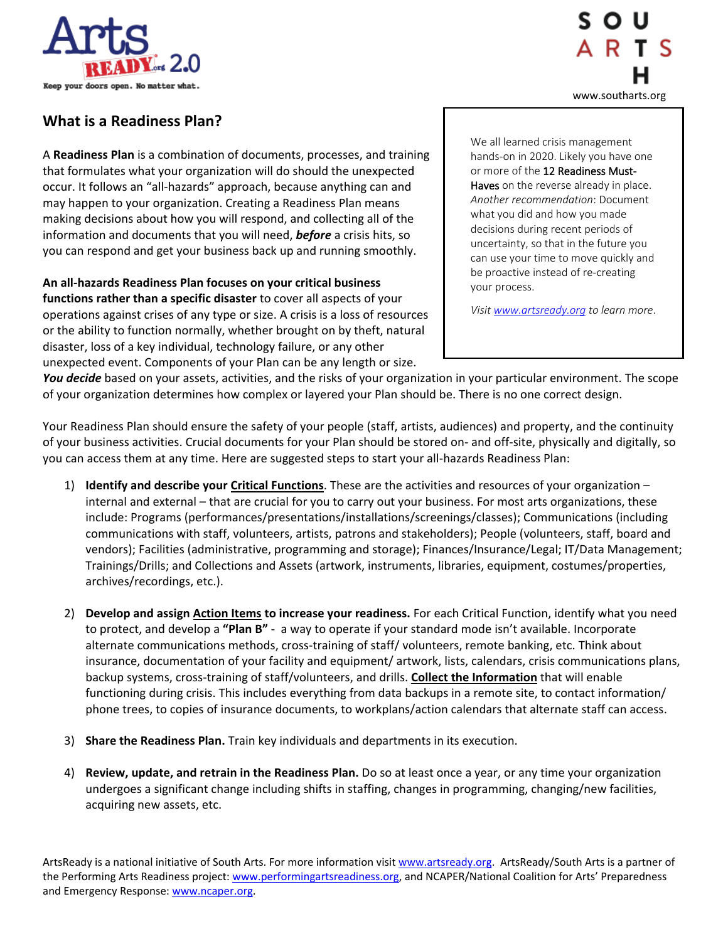



## **What is a Readiness Plan?**

A **Readiness Plan** is a combination of documents, processes, and training that formulates what your organization will do should the unexpected occur. It follows an "all-hazards" approach, because anything can and may happen to your organization. Creating a Readiness Plan means making decisions about how you will respond, and collecting all of the information and documents that you will need, *before* a crisis hits, so you can respond and get your business back up and running smoothly.

**An all-hazards Readiness Plan focuses on your critical business functions rather than a specific disaster** to cover all aspects of your operations against crises of any type or size. A crisis is a loss of resources or the ability to function normally, whether brought on by theft, natural disaster, loss of a key individual, technology failure, or any other unexpected event. Components of your Plan can be any length or size.

We all learned crisis management hands-on in 2020. Likely you have one or more of the 12 Readiness Must-Haves on the reverse already in place. *Another recommendation*: Document what you did and how you made decisions during recent periods of uncertainty, so that in the future you can use your time to move quickly and be proactive instead of re-creating your process.

*Visi[t www.artsready.org](http://www.artsready.org/) to learn more*.

*You decide* based on your assets, activities, and the risks of your organization in your particular environment. The scope of your organization determines how complex or layered your Plan should be. There is no one correct design.

Your Readiness Plan should ensure the safety of your people (staff, artists, audiences) and property, and the continuity of your business activities. Crucial documents for your Plan should be stored on- and off-site, physically and digitally, so you can access them at any time. Here are suggested steps to start your all-hazards Readiness Plan:

- 1) **Identify and describe your Critical Functions**. These are the activities and resources of your organization internal and external – that are crucial for you to carry out your business. For most arts organizations, these include: Programs (performances/presentations/installations/screenings/classes); Communications (including communications with staff, volunteers, artists, patrons and stakeholders); People (volunteers, staff, board and vendors); Facilities (administrative, programming and storage); Finances/Insurance/Legal; IT/Data Management; Trainings/Drills; and Collections and Assets (artwork, instruments, libraries, equipment, costumes/properties, archives/recordings, etc.).
- 2) **Develop and assign Action Items to increase your readiness.** For each Critical Function, identify what you need to protect, and develop a **"Plan B"** - a way to operate if your standard mode isn't available. Incorporate alternate communications methods, cross-training of staff/ volunteers, remote banking, etc. Think about insurance, documentation of your facility and equipment/ artwork, lists, calendars, crisis communications plans, backup systems, cross-training of staff/volunteers, and drills. **Collect the Information** that will enable functioning during crisis. This includes everything from data backups in a remote site, to contact information/ phone trees, to copies of insurance documents, to workplans/action calendars that alternate staff can access.
- 3) **Share the Readiness Plan.** Train key individuals and departments in its execution.
- 4) **Review, update, and retrain in the Readiness Plan.** Do so at least once a year, or any time your organization undergoes a significant change including shifts in staffing, changes in programming, changing/new facilities, acquiring new assets, etc.

ArtsReady is a national initiative of South Arts. For more information visit [www.artsready.org.](http://www.artsready.org/) ArtsReady/South Arts is a partner of the Performing Arts Readiness project[: www.performingartsreadiness.org,](http://www.performingartsreadiness.org/) and NCAPER/National Coalition for Arts' Preparedness and Emergency Response: [www.ncaper.org.](http://www.ncaper.org/)